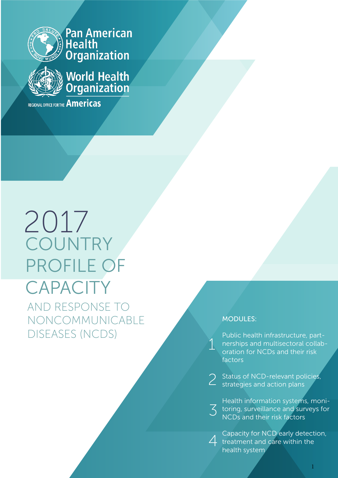

**Pan American<br>Health<br>Organization** 



**World Health**<br>Arganization

REGIONAL OFFICE FOR THE **Americas** 

# 2017 **COUNTRY** PROFILE OF **CAPACITY** AND RESPONSE TO NONCOMMUNICABLE DISEASES (NCDS)

#### MODULES:

1

Public health infrastructure, partnerships and multisectoral collaboration for NCDs and their risk factors

2 Status of NCD-relevant policies,<br>2 strategies and action plans strategies and action plans

3 toring, surveillance and surveys for<br>NCDs and their risk factors Health information systems, moni-NCDs and their risk factors

4 Capacity for NCD early detect<br>treatment and care within the Capacity for NCD early detection, health system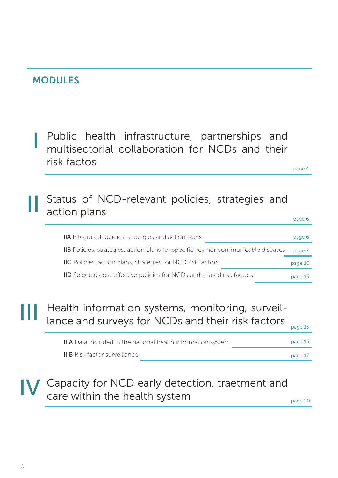### MODULES

I

Public health infrastructure, partnerships and multisectorial collaboration for NCDs and their risk factos

page 4

#### Status of NCD-relevant policies, strategies and action plans II

|                                                                                  | page 6  |
|----------------------------------------------------------------------------------|---------|
| <b>IIA</b> Integrated policies, strategies and action plans                      | page 6  |
| IIB Policies, strategies, action plans for specific key noncommunicable diseases | page 7  |
| <b>IIC</b> Policies, action plans, strategies for NCD risk factors               | page 10 |
| <b>IID</b> Selected cost-effective policies for NCDs and related risk factors    | page 13 |

### Health information systems, monitoring, surveillance and surveys for NCDs and their risk factors III

| <b>IIIA</b> Data included in the national health information system | page 15 |
|---------------------------------------------------------------------|---------|
| <b>IIIB</b> Risk factor surveillance                                | page 17 |

### Capacity for NCD early detection, traetment and care within the health system IV

page 15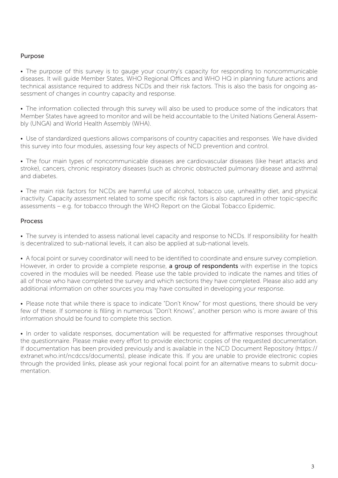#### Purpose

• The purpose of this survey is to gauge your country's capacity for responding to noncommunicable diseases. It will guide Member States, WHO Regional Offices and WHO HQ in planning future actions and technical assistance required to address NCDs and their risk factors. This is also the basis for ongoing assessment of changes in country capacity and response.

• The information collected through this survey will also be used to produce some of the indicators that Member States have agreed to monitor and will be held accountable to the United Nations General Assembly (UNGA) and World Health Assembly (WHA).

• Use of standardized questions allows comparisons of country capacities and responses. We have divided this survey into four modules, assessing four key aspects of NCD prevention and control.

• The four main types of noncommunicable diseases are cardiovascular diseases (like heart attacks and stroke), cancers, chronic respiratory diseases (such as chronic obstructed pulmonary disease and asthma) and diabetes.

• The main risk factors for NCDs are harmful use of alcohol, tobacco use, unhealthy diet, and physical inactivity. Capacity assessment related to some specific risk factors is also captured in other topic-specific assessments – e.g. for tobacco through the WHO Report on the Global Tobacco Epidemic.

#### Process

• The survey is intended to assess national level capacity and response to NCDs. If responsibility for health is decentralized to sub-national levels, it can also be applied at sub-national levels.

• A focal point or survey coordinator will need to be identified to coordinate and ensure survey completion. However, in order to provide a complete response, **a group of respondents** with expertise in the topics covered in the modules will be needed. Please use the table provided to indicate the names and titles of all of those who have completed the survey and which sections they have completed. Please also add any additional information on other sources you may have consulted in developing your response.

• Please note that while there is space to indicate "Don't Know" for most questions, there should be very few of these. If someone is filling in numerous "Don't Knows", another person who is more aware of this information should be found to complete this section.

• In order to validate responses, documentation will be requested for affirmative responses throughout the questionnaire. Please make every effort to provide electronic copies of the requested documentation. If documentation has been provided previously and is available in the NCD Document Repository (https:// extranet.who.int/ncdccs/documents), please indicate this. If you are unable to provide electronic copies through the provided links, please ask your regional focal point for an alternative means to submit documentation.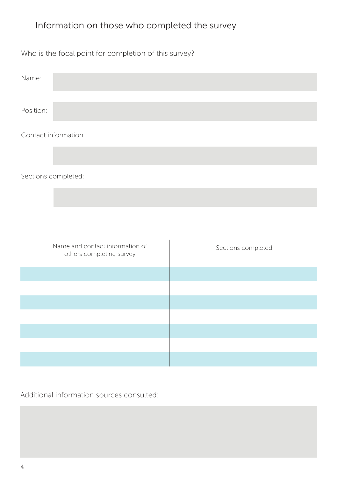### Information on those who completed the survey

Who is the focal point for completion of this survey?

| Name:     |                     |  |
|-----------|---------------------|--|
|           |                     |  |
| Position: |                     |  |
|           | Contact information |  |

Sections completed:

| Name and contact information of<br>others completing survey | Sections completed |
|-------------------------------------------------------------|--------------------|
|                                                             |                    |
|                                                             |                    |
|                                                             |                    |
|                                                             |                    |
|                                                             |                    |
|                                                             |                    |
|                                                             |                    |

Additional information sources consulted: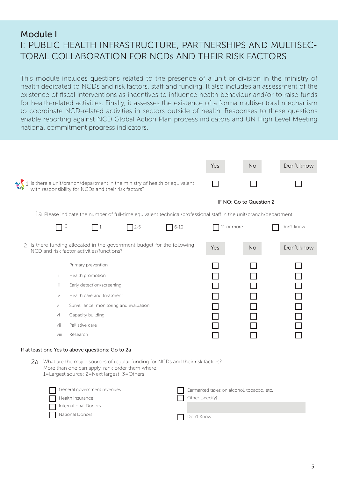### Module I I: PUBLIC HEALTH INFRASTRUCTURE, PARTNERSHIPS AND MULTISEC-TORAL COLLABORATION FOR NCDs AND THEIR RISK FACTORS

This module includes questions related to the presence of a unit or division in the ministry of health dedicated to NCDs and risk factors, staff and funding. It also includes an assessment of the existence of fiscal interventions as incentives to influence health behaviour and/or to raise funds for health-related activities. Finally, it assesses the existence of a forma multisectoral mechanism to coordinate NCD-related activities in sectors outside of health. Responses to these questions enable reporting against NCD Global Action Plan process indicators and UN High Level Meeting national commitment progress indicators.

|                     |                                                                                                                                             |            |                                                                                                                  | Yes        | <b>No</b>               | Don't know |
|---------------------|---------------------------------------------------------------------------------------------------------------------------------------------|------------|------------------------------------------------------------------------------------------------------------------|------------|-------------------------|------------|
|                     | $\cdot$ 1 Is there a unit/branch/department in the ministry of health or equivalent<br>with responsibility for NCDs and their risk factors? |            |                                                                                                                  |            |                         |            |
|                     |                                                                                                                                             |            |                                                                                                                  |            | IF NO: Go to Question 2 |            |
|                     |                                                                                                                                             |            | 1a Please indicate the number of full-time equivalent technical/professional staff in the unit/branch/department |            |                         |            |
| $\circlearrowright$ | l 11                                                                                                                                        | $\Box$ 2-5 | $\Box$ 6-10                                                                                                      | 11 or more |                         | Don't know |
| $\mathcal{P}$       | Is there funding allocated in the government budget for the following<br>NCD and risk factor activities/functions?                          |            |                                                                                                                  | Yes        | <b>No</b>               | Don't know |
| Ť.                  | Primary prevention                                                                                                                          |            |                                                                                                                  |            |                         |            |
| ii.                 | Health promotion                                                                                                                            |            |                                                                                                                  |            |                         |            |
| iii                 | Early detection/screening                                                                                                                   |            |                                                                                                                  |            |                         |            |
| iv                  | Health care and treatment                                                                                                                   |            |                                                                                                                  |            |                         |            |
| $\vee$              | Surveillance, monitoring and evaluation                                                                                                     |            |                                                                                                                  |            |                         |            |
| vi                  | Capacity building                                                                                                                           |            |                                                                                                                  |            |                         |            |
| vii                 | Palliative care                                                                                                                             |            |                                                                                                                  |            |                         |            |
| viii                | Research                                                                                                                                    |            |                                                                                                                  |            |                         |            |
|                     | If at least one Yes to above questions: Go to 2a                                                                                            |            |                                                                                                                  |            |                         |            |
| 2a                  | What are the major sources of regular funding for NCDs and their risk factors?                                                              |            |                                                                                                                  |            |                         |            |

1=Largest source; 2=Next largest; 3=Others

| General government revenues    | Earmarked taxes on alcohol, tobacco, etc. |
|--------------------------------|-------------------------------------------|
| $\vert \vert$ Health insurance | Other (specify)                           |
| $\Box$ International Donors    |                                           |
| National Donors                | Don't Know                                |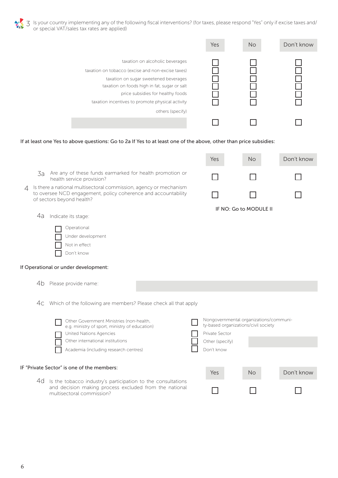Is your country implementing any of the following fiscal interventions? (for taxes, please respond "Yes" only if excise taxes and/ or special VAT/sales tax rates are applied) 3

|                                                                                                                                                                                                                                                                                            | Yes | <b>No</b> | Don't know |
|--------------------------------------------------------------------------------------------------------------------------------------------------------------------------------------------------------------------------------------------------------------------------------------------|-----|-----------|------------|
| taxation on alcoholic beverages<br>taxation on tobacco (excise and non-excise taxes)<br>taxation on sugar sweetened beverages<br>taxation on foods high in fat, sugar or salt<br>price subsidies for healthy foods<br>taxation incentives to promote physical activity<br>others (specify) |     |           |            |
|                                                                                                                                                                                                                                                                                            |     |           |            |

If at least one Yes to above questions: Go to 2a If Yes to at least one of the above, other than price subsidies:

- Are any of these funds earmarked for health promotion or 3a health service provision?
- Is there a national multisectoral commission, agency or mechanism to oversee NCD engagement, policy coherence and accountability of sectors beyond health? 4

4a Indicate its stage:

Operational

Not in effect Don't know

Under development

Yes No Don't know П

П

IF NO: Go to MODULE II

- Yes No Don't know If Operational or under development: IF "Private Sector" is one of the members: 4b Please provide name: Which of the following are members? Please check all that apply 4c Other Government Ministries (non-health, e.g. ministry of sport, ministry of education) Nongovernmental organizations/community-based organizations/civil society United Nations Agencies **Private Sector** Private Sector Other international institutions and other (specify) Academia (including research centres) Don't know
	- 4d Is the tobacco industry's participation to the consultations and decision making process excluded from the national multisectoral commission?

6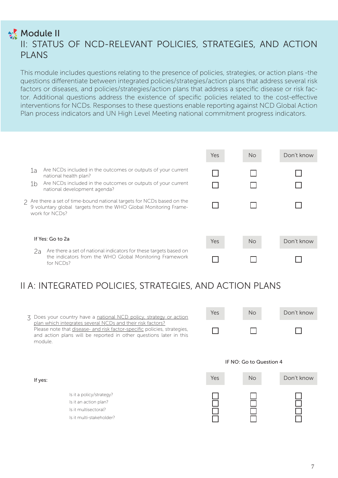### **Module II** II: STATUS OF NCD-RELEVANT POLICIES, STRATEGIES, AND ACTION PLANS

This module includes questions relating to the presence of policies, strategies, or action plans -the questions differentiate between integrated policies/strategies/action plans that address several risk factors or diseases, and policies/strategies/action plans that address a specific disease or risk factor. Additional questions address the existence of specific policies related to the cost-effective interventions for NCDs. Responses to these questions enable reporting against NCD Global Action Plan process indicators and UN High Level Meeting national commitment progress indicators.

|                                                                                                                                                                     |                                                                                                                                                                                       | Yes | No.       | Don't know |
|---------------------------------------------------------------------------------------------------------------------------------------------------------------------|---------------------------------------------------------------------------------------------------------------------------------------------------------------------------------------|-----|-----------|------------|
| 1a<br>1 <sub>b</sub>                                                                                                                                                | Are NCDs included in the outcomes or outputs of your current<br>national health plan?<br>Are NCDs included in the outcomes or outputs of your current<br>national development agenda? |     |           |            |
| $\gamma$ Are there a set of time-bound national targets for NCDs based on the<br>9 voluntary global targets from the WHO Global Monitoring Frame-<br>work for NCDs? |                                                                                                                                                                                       |     |           |            |
|                                                                                                                                                                     | If Yes: Go to 2a                                                                                                                                                                      | Yes | <b>No</b> | Don't know |
|                                                                                                                                                                     | Are there a set of national indicators for these targets based on<br>2a<br>the indicators from the WHO Global Monitoring Framework<br>for NCDs?                                       |     |           |            |

# II A: INTEGRATED POLICIES, STRATEGIES, AND ACTION PLANS

3 Does your country have a national NCD policy, strategy or action plan which integrates several NCDs and their risk factors? Please note that disease- and risk factor-specific policies, strategies, and action plans will be reported in other questions later in this module.

Is it multi-stakeholder?

If yes:

| Yes | No | Don't know |
|-----|----|------------|
|     |    |            |

# Yes No Don't know Is it a policy/strategy? Is it an action plan? Is it multisectoral?

IF NO: Go to Question 4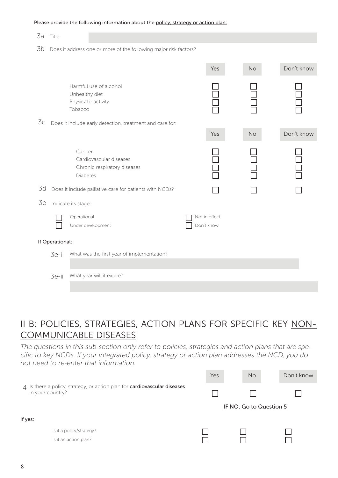#### Please provide the following information about the policy, strategy or action plan:

| 3a | Title:                                                           |                                                                               |                             |           |            |  |
|----|------------------------------------------------------------------|-------------------------------------------------------------------------------|-----------------------------|-----------|------------|--|
| 3b | Does it address one or more of the following major risk factors? |                                                                               |                             |           |            |  |
|    |                                                                  |                                                                               | Yes                         | No        | Don't know |  |
|    |                                                                  | Harmful use of alcohol<br>Unhealthy diet<br>Physical inactivity<br>Tobacco    |                             |           |            |  |
| 3c |                                                                  | Does it include early detection, treatment and care for:                      |                             |           |            |  |
|    |                                                                  |                                                                               | Yes                         | <b>No</b> | Don't know |  |
|    |                                                                  | Cancer<br>Cardiovascular diseases<br>Chronic respiratory diseases<br>Diabetes |                             |           |            |  |
| 3d |                                                                  | Does it include palliative care for patients with NCDs?                       |                             |           |            |  |
| 3e |                                                                  | Indicate its stage:                                                           |                             |           |            |  |
|    |                                                                  | Operational<br>Under development                                              | Not in effect<br>Don't know |           |            |  |
|    | If Operational:                                                  |                                                                               |                             |           |            |  |
|    | 3e-i                                                             | What was the first year of implementation?                                    |                             |           |            |  |
|    | 3e-ii                                                            | What year will it expire?                                                     |                             |           |            |  |

### II B: POLICIES, STRATEGIES, ACTION PLANS FOR SPECIFIC KEY NON-COMMUNICABLE DISEASES

*The questions in this sub-section only refer to policies, strategies and action plans that are specific to key NCDs. If your integrated policy, strategy or action plan addresses the NCD, you do not need to re-enter that information.*

|                                                                                               | Yes | <b>No</b>               | Don't know |
|-----------------------------------------------------------------------------------------------|-----|-------------------------|------------|
| 4 Is there a policy, strategy, or action plan for cardiovascular diseases<br>in your country? |     |                         |            |
|                                                                                               |     | IF NO: Go to Question 5 |            |
| If yes:                                                                                       |     |                         |            |
| Is it a policy/strategy?                                                                      |     |                         |            |
| Is it an action plan?                                                                         |     |                         |            |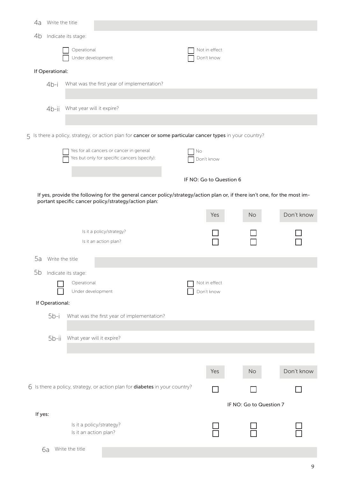| 4a              | Write the title |                                  |                                                                                                                                                                                   |  |    |                             |                         |            |
|-----------------|-----------------|----------------------------------|-----------------------------------------------------------------------------------------------------------------------------------------------------------------------------------|--|----|-----------------------------|-------------------------|------------|
| 4b              |                 | Indicate its stage:              |                                                                                                                                                                                   |  |    |                             |                         |            |
|                 |                 | Operational                      |                                                                                                                                                                                   |  |    | Not in effect               |                         |            |
|                 |                 | Under development                |                                                                                                                                                                                   |  |    | Don't know                  |                         |            |
| If Operational: |                 |                                  |                                                                                                                                                                                   |  |    |                             |                         |            |
|                 | $4b-i$          |                                  | What was the first year of implementation?                                                                                                                                        |  |    |                             |                         |            |
|                 |                 |                                  |                                                                                                                                                                                   |  |    |                             |                         |            |
|                 | $4b-ii$         | What year will it expire?        |                                                                                                                                                                                   |  |    |                             |                         |            |
|                 |                 |                                  |                                                                                                                                                                                   |  |    |                             |                         |            |
|                 |                 |                                  | 5 Is there a policy, strategy, or action plan for <b>cancer or some particular cancer types</b> in your country?                                                                  |  |    |                             |                         |            |
|                 |                 |                                  | Yes for all cancers or cancer in general                                                                                                                                          |  | No |                             |                         |            |
|                 |                 |                                  | Yes but only for specific cancers (specify):                                                                                                                                      |  |    | Don't know                  |                         |            |
|                 |                 |                                  |                                                                                                                                                                                   |  |    | IF NO: Go to Question 6     |                         |            |
|                 |                 |                                  |                                                                                                                                                                                   |  |    |                             |                         |            |
|                 |                 |                                  | If yes, provide the following for the general cancer policy/strategy/action plan or, if there isn't one, for the most im-<br>portant specific cancer policy/strategy/action plan: |  |    |                             |                         |            |
|                 |                 |                                  |                                                                                                                                                                                   |  |    | Yes                         | No                      | Don't know |
|                 |                 |                                  | Is it a policy/strategy?                                                                                                                                                          |  |    |                             |                         |            |
|                 |                 |                                  | Is it an action plan?                                                                                                                                                             |  |    |                             |                         |            |
|                 |                 |                                  |                                                                                                                                                                                   |  |    |                             |                         |            |
| 5a              | Write the title |                                  |                                                                                                                                                                                   |  |    |                             |                         |            |
|                 |                 | 5b Indicate its stage:           |                                                                                                                                                                                   |  |    |                             |                         |            |
|                 |                 | Operational<br>Under development |                                                                                                                                                                                   |  |    | Not in effect<br>Don't know |                         |            |
|                 | If Operational: |                                  |                                                                                                                                                                                   |  |    |                             |                         |            |
|                 | $5b-i$          |                                  | What was the first year of implementation?                                                                                                                                        |  |    |                             |                         |            |
|                 |                 |                                  |                                                                                                                                                                                   |  |    |                             |                         |            |
|                 | 5b-ii           | What year will it expire?        |                                                                                                                                                                                   |  |    |                             |                         |            |
|                 |                 |                                  |                                                                                                                                                                                   |  |    |                             |                         |            |
|                 |                 |                                  |                                                                                                                                                                                   |  |    |                             |                         |            |
|                 |                 |                                  |                                                                                                                                                                                   |  |    | Yes                         | No                      | Don't know |
|                 |                 |                                  | 6 Is there a policy, strategy, or action plan for <b>diabetes</b> in your country?                                                                                                |  |    |                             |                         |            |
|                 |                 |                                  |                                                                                                                                                                                   |  |    |                             | IF NO: Go to Question 7 |            |
| If yes:         |                 |                                  |                                                                                                                                                                                   |  |    |                             |                         |            |
|                 |                 | Is it an action plan?            | Is it a policy/strategy?                                                                                                                                                          |  |    |                             |                         |            |
|                 |                 |                                  |                                                                                                                                                                                   |  |    |                             |                         |            |
|                 | 6a              | Write the title                  |                                                                                                                                                                                   |  |    |                             |                         |            |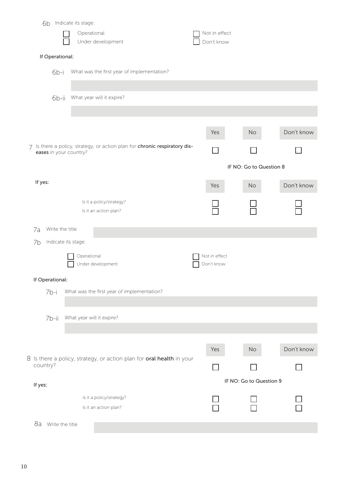| 6b                          | Indicate its stage:       |                                                                          |                             |                         |            |
|-----------------------------|---------------------------|--------------------------------------------------------------------------|-----------------------------|-------------------------|------------|
|                             | Operational               | Under development                                                        | Not in effect<br>Don't know |                         |            |
|                             |                           |                                                                          |                             |                         |            |
| If Operational:             |                           |                                                                          |                             |                         |            |
| 6b-i                        |                           | What was the first year of implementation?                               |                             |                         |            |
| 6b-ii                       |                           | What year will it expire?                                                |                             |                         |            |
|                             |                           |                                                                          | Yes                         | No                      | Don't know |
| 7<br>eases in your country? |                           | Is there a policy, strategy, or action plan for chronic respiratory dis- |                             |                         |            |
|                             |                           |                                                                          |                             | IF NO: Go to Question 8 |            |
| If yes:                     |                           |                                                                          | Yes                         | No                      | Don't know |
|                             |                           | Is it a policy/strategy?<br>Is it an action plan?                        |                             |                         |            |
| Write the title<br>7a       |                           |                                                                          |                             |                         |            |
| 7b                          | Indicate its stage:       |                                                                          |                             |                         |            |
|                             | Operational               | Under development                                                        | Not in effect<br>Don't know |                         |            |
| If Operational:             |                           |                                                                          |                             |                         |            |
| 7b-i                        |                           | What was the first year of implementation?                               |                             |                         |            |
| 7b-ii                       | What year will it expire? |                                                                          |                             |                         |            |
|                             |                           |                                                                          |                             |                         |            |
|                             |                           |                                                                          | Yes                         | No                      | Don't know |
| country?                    |                           | 8 Is there a policy, strategy, or action plan for oral health in your    |                             |                         |            |
| If yes:                     |                           |                                                                          |                             | IF NO: Go to Question 9 |            |
|                             |                           | Is it a policy/strategy?<br>Is it an action plan?                        |                             |                         |            |
| 8a<br>Write the title       |                           |                                                                          |                             |                         |            |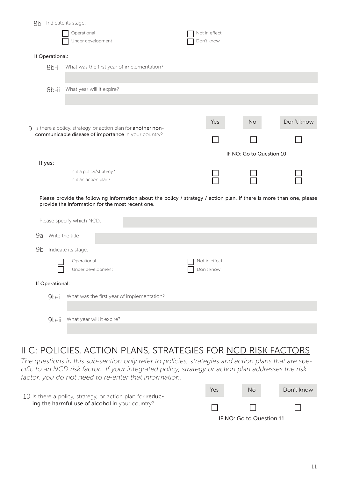| 8b              | Indicate its stage:                                                                                                                                                       |                             |                          |            |
|-----------------|---------------------------------------------------------------------------------------------------------------------------------------------------------------------------|-----------------------------|--------------------------|------------|
|                 | Operational<br>Under development                                                                                                                                          | Not in effect<br>Don't know |                          |            |
| If Operational: |                                                                                                                                                                           |                             |                          |            |
| $8b-i$          | What was the first year of implementation?                                                                                                                                |                             |                          |            |
|                 |                                                                                                                                                                           |                             |                          |            |
| 8b-ii           | What year will it expire?                                                                                                                                                 |                             |                          |            |
|                 |                                                                                                                                                                           |                             |                          |            |
|                 | 9 Is there a policy, strategy, or action plan for another non-                                                                                                            | Yes                         | <b>No</b>                | Don't know |
|                 | communicable disease of importance in your country?                                                                                                                       |                             |                          |            |
|                 |                                                                                                                                                                           |                             | IF NO: Go to Question 10 |            |
| If yes:         | Is it a policy/strategy?<br>Is it an action plan?                                                                                                                         |                             |                          |            |
|                 | Please provide the following information about the policy / strategy / action plan. If there is more than one, please<br>provide the information for the most recent one. |                             |                          |            |
|                 | Please specify which NCD:                                                                                                                                                 |                             |                          |            |
| 9a              | Write the title                                                                                                                                                           |                             |                          |            |
| 9b              | Indicate its stage:                                                                                                                                                       |                             |                          |            |
|                 | Operational<br>Under development                                                                                                                                          | Not in effect<br>Don't know |                          |            |
| If Operational: |                                                                                                                                                                           |                             |                          |            |
| $9b-i$          | What was the first year of implementation?                                                                                                                                |                             |                          |            |
| $9b-ii$         | What year will it expire?                                                                                                                                                 |                             |                          |            |

# II C: POLICIES, ACTION PLANS, STRATEGIES FOR NCD RISK FACTORS

*The questions in this sub-section only refer to policies, strategies and action plans that are specific to an NCD risk factor. If your integrated policy, strategy or action plan addresses the risk factor, you do not need to re-enter that information.*



IF NO: Go to Question 11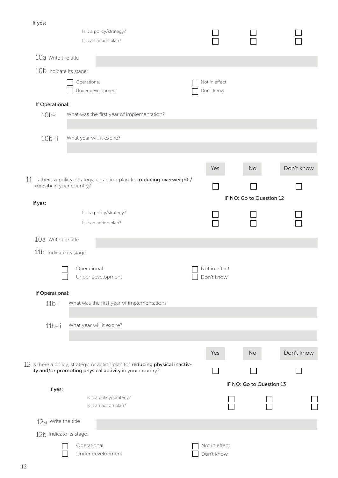If yes: Is it a policy/strategy? Is it an action plan? Write the title 10a 10b Indicate its stage: **Operational** Not in effect Under development Don't know If Operational:  $10<sub>b-i</sub>$ What was the first year of implementation? What year will it expire? 10b-ii Yes No Don't know 11 Is there a policy, strategy, or action plan for reducing overweight / obesity in your country? П IF NO: Go to Question 12 If yes: Is it a policy/strategy? П Is it an action plan? 10a Write the title 11b Indicate its stage: Operational Not in effect Under development Don't know If Operational: What was the first year of implementation? 11b-i 11b-ii What year will it expire? Yes No Don't know 12 Is there a policy, strategy, or action plan for **reducing physical inactiv**ity and/or promoting physical activity in your country? П  $\Box$ IF NO: Go to Question 13 If yes: Is it a policy/strategy? Is it an action plan? 12a Write the title 12b Indicate its stage: Operational Not in effect Under development Don't know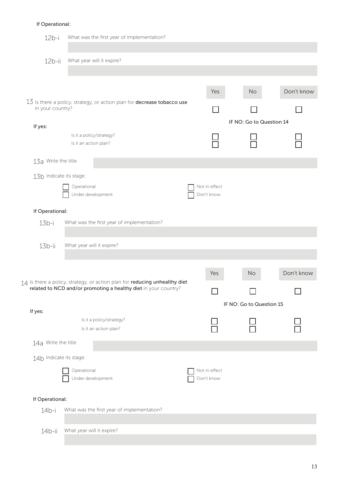#### If Operational:

| $12b-i$                 |                           | What was the first year of implementation?                                     |                                                                                                                                                              |  |                             |                          |            |
|-------------------------|---------------------------|--------------------------------------------------------------------------------|--------------------------------------------------------------------------------------------------------------------------------------------------------------|--|-----------------------------|--------------------------|------------|
|                         |                           |                                                                                |                                                                                                                                                              |  |                             |                          |            |
| $12b-ii$                |                           | What year will it expire?                                                      |                                                                                                                                                              |  |                             |                          |            |
|                         |                           |                                                                                |                                                                                                                                                              |  |                             |                          |            |
|                         |                           |                                                                                |                                                                                                                                                              |  |                             |                          |            |
|                         |                           | 13 Is there a policy, strategy, or action plan for <b>decrease tobacco use</b> |                                                                                                                                                              |  | Yes                         | No                       | Don't know |
| in your country?        |                           |                                                                                |                                                                                                                                                              |  |                             |                          |            |
|                         |                           |                                                                                |                                                                                                                                                              |  |                             | IF NO: Go to Question 14 |            |
| If yes:                 |                           | Is it a policy/strategy?                                                       |                                                                                                                                                              |  |                             |                          |            |
|                         | Is it an action plan?     |                                                                                |                                                                                                                                                              |  |                             |                          |            |
| 13a Write the title     |                           |                                                                                |                                                                                                                                                              |  |                             |                          |            |
|                         |                           |                                                                                |                                                                                                                                                              |  |                             |                          |            |
| 13b Indicate its stage: |                           |                                                                                |                                                                                                                                                              |  |                             |                          |            |
|                         | Operational               | Under development                                                              |                                                                                                                                                              |  | Not in effect<br>Don't know |                          |            |
|                         |                           |                                                                                |                                                                                                                                                              |  |                             |                          |            |
| If Operational:         |                           |                                                                                |                                                                                                                                                              |  |                             |                          |            |
| $13b-i$                 |                           | What was the first year of implementation?                                     |                                                                                                                                                              |  |                             |                          |            |
|                         |                           |                                                                                |                                                                                                                                                              |  |                             |                          |            |
| $13b-ii$                | What year will it expire? |                                                                                |                                                                                                                                                              |  |                             |                          |            |
|                         |                           |                                                                                |                                                                                                                                                              |  |                             |                          |            |
|                         |                           |                                                                                |                                                                                                                                                              |  | Yes                         | No                       | Don't know |
|                         |                           |                                                                                | 14 Is there a policy, strategy, or action plan for reducing unhealthy diet<br>$\overline{a}$ related to NCD and/or promoting a healthy diet in your country? |  |                             |                          |            |
|                         |                           |                                                                                |                                                                                                                                                              |  |                             | IF NO: Go to Question 15 |            |
| If yes:                 |                           |                                                                                |                                                                                                                                                              |  |                             |                          |            |
|                         |                           | Is it a policy/strategy?                                                       |                                                                                                                                                              |  |                             |                          |            |
|                         |                           | Is it an action plan?                                                          |                                                                                                                                                              |  |                             |                          |            |
| 14a Write the title     |                           |                                                                                |                                                                                                                                                              |  |                             |                          |            |
| 14b Indicate its stage: |                           |                                                                                |                                                                                                                                                              |  |                             |                          |            |
|                         | Operational               |                                                                                |                                                                                                                                                              |  | Not in effect               |                          |            |
|                         |                           | Under development                                                              |                                                                                                                                                              |  | Don't know                  |                          |            |
| If Operational:         |                           |                                                                                |                                                                                                                                                              |  |                             |                          |            |
| $14b-i$                 |                           | What was the first year of implementation?                                     |                                                                                                                                                              |  |                             |                          |            |
|                         |                           |                                                                                |                                                                                                                                                              |  |                             |                          |            |
| $14b-ii$                | What year will it expire? |                                                                                |                                                                                                                                                              |  |                             |                          |            |
|                         |                           |                                                                                |                                                                                                                                                              |  |                             |                          |            |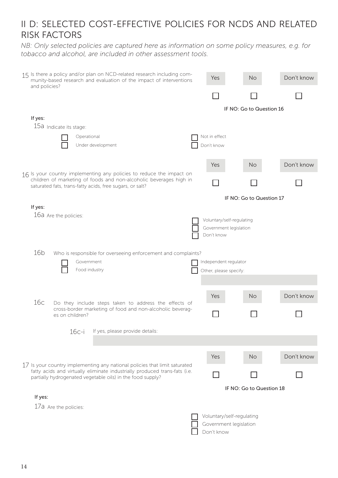### II D: SELECTED COST-EFFECTIVE POLICIES FOR NCDS AND RELATED RISK FACTORS

*NB: Only selected policies are captured here as information on some policy measures, e.g. for tobacco and alcohol, are included in other assessment tools.*

| 15 Is there a policy and/or plan on NCD-related research including com-<br>munity-based research and evaluation of the impact of interventions<br>and policies?                                        | Yes | <b>No</b>                                                         | Don't know               |            |
|--------------------------------------------------------------------------------------------------------------------------------------------------------------------------------------------------------|-----|-------------------------------------------------------------------|--------------------------|------------|
|                                                                                                                                                                                                        |     |                                                                   |                          |            |
|                                                                                                                                                                                                        |     |                                                                   | IF NO: Go to Question 16 |            |
| If yes:                                                                                                                                                                                                |     |                                                                   |                          |            |
| 15a Indicate its stage:                                                                                                                                                                                |     |                                                                   |                          |            |
| Operational                                                                                                                                                                                            |     | Not in effect                                                     |                          |            |
| Under development                                                                                                                                                                                      |     | Don't know                                                        |                          |            |
|                                                                                                                                                                                                        |     | Yes                                                               | <b>No</b>                | Don't know |
| 16 Is your country implementing any policies to reduce the impact on<br>children of marketing of foods and non-alcoholic beverages high in<br>saturated fats, trans-fatty acids, free sugars, or salt? |     |                                                                   |                          |            |
|                                                                                                                                                                                                        |     |                                                                   | IF NO: Go to Question 17 |            |
| If yes:                                                                                                                                                                                                |     |                                                                   |                          |            |
| 16a Are the policies:                                                                                                                                                                                  |     | Voluntary/self-regulating<br>Government legislation<br>Don't know |                          |            |
| 16 <sub>b</sub>                                                                                                                                                                                        |     |                                                                   |                          |            |
| Who is responsible for overseeing enforcement and complaints?                                                                                                                                          |     |                                                                   |                          |            |
| Government<br>Food industry                                                                                                                                                                            |     | Independent regulator                                             |                          |            |
|                                                                                                                                                                                                        |     | Other, please specify:                                            |                          |            |
|                                                                                                                                                                                                        |     |                                                                   |                          |            |
| 16c                                                                                                                                                                                                    |     | Yes                                                               | <b>No</b>                | Don't know |
| Do they include steps taken to address the effects of<br>cross-border marketing of food and non-alcoholic beverag-<br>es on children?                                                                  |     |                                                                   |                          |            |
| If yes, please provide details:<br>$16c-i$                                                                                                                                                             |     |                                                                   |                          |            |
|                                                                                                                                                                                                        |     |                                                                   |                          |            |
| 17 Is your country implementing any national policies that limit saturated                                                                                                                             |     | Yes                                                               | <b>No</b>                | Don't know |
| fatty acids and virtually eliminate industrially produced trans-fats (i.e.<br>partially hydrogenated vegetable oils) in the food supply?                                                               |     |                                                                   |                          |            |
|                                                                                                                                                                                                        |     |                                                                   | IF NO: Go to Question 18 |            |
| If yes:                                                                                                                                                                                                |     |                                                                   |                          |            |
| 17a Are the policies:                                                                                                                                                                                  |     |                                                                   |                          |            |
|                                                                                                                                                                                                        |     | Voluntary/self-regulating                                         |                          |            |
|                                                                                                                                                                                                        |     | Government legislation                                            |                          |            |
|                                                                                                                                                                                                        |     | Don't know                                                        |                          |            |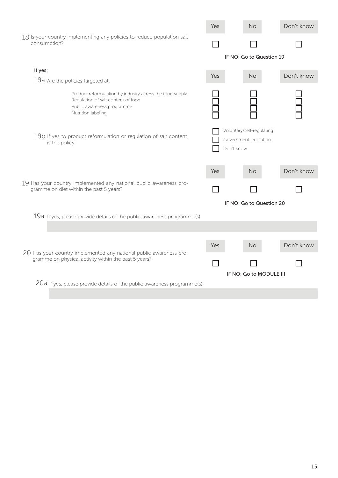|                                                                                        |                                                                                                                                                    |                          | <b>No</b>                                                         | Don't know |  |
|----------------------------------------------------------------------------------------|----------------------------------------------------------------------------------------------------------------------------------------------------|--------------------------|-------------------------------------------------------------------|------------|--|
| 18 Is your country implementing any policies to reduce population salt<br>consumption? |                                                                                                                                                    |                          |                                                                   |            |  |
|                                                                                        |                                                                                                                                                    |                          | IF NO: Go to Question 19                                          |            |  |
| If yes:                                                                                |                                                                                                                                                    | Yes                      | No                                                                | Don't know |  |
|                                                                                        | 18a Are the policies targeted at:                                                                                                                  |                          |                                                                   |            |  |
|                                                                                        | Product reformulation by industry across the food supply<br>Regulation of salt content of food<br>Public awareness programme<br>Nutrition labeling |                          |                                                                   |            |  |
|                                                                                        | 18b If yes to product reformulation or regulation of salt content,<br>is the policy:                                                               |                          | Voluntary/self-regulating<br>Government legislation<br>Don't know |            |  |
|                                                                                        |                                                                                                                                                    | Yes                      | <b>No</b>                                                         | Don't know |  |
|                                                                                        | 19 Has your country implemented any national public awareness pro-<br>gramme on diet within the past 5 years?                                      |                          |                                                                   |            |  |
|                                                                                        |                                                                                                                                                    | IF NO: Go to Question 20 |                                                                   |            |  |
|                                                                                        | 19 $a$ If yes, please provide details of the public awareness programme(s):                                                                        |                          |                                                                   |            |  |
|                                                                                        |                                                                                                                                                    |                          |                                                                   |            |  |
|                                                                                        | 20 Has your country implemented any national public awareness pro-                                                                                 |                          | <b>No</b>                                                         | Don't know |  |
|                                                                                        | gramme on physical activity within the past 5 years?                                                                                               |                          |                                                                   |            |  |
|                                                                                        |                                                                                                                                                    | IF NO: Go to MODULE III  |                                                                   |            |  |
|                                                                                        | 20a If yes, please provide details of the public awareness programme(s):                                                                           |                          |                                                                   |            |  |
|                                                                                        |                                                                                                                                                    |                          |                                                                   |            |  |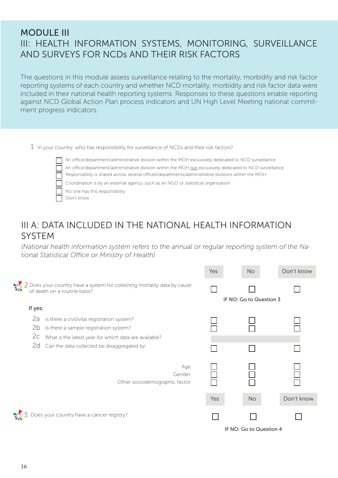### MODULE III III: HEALTH INFORMATION SYSTEMS, MONITORING, SURVEILLANCE AND SURVEYS FOR NCDs AND THEIR RISK FACTORS

The questions in this module assess surveillance relating to the mortality, morbidity and risk factor reporting systems of each country and whether NCD mortality, morbidity and risk factor data were included in their national health reporting systems. Responses to these questions enable reporting against NCD Global Action Plan process indicators and UN High Level Meeting national commitment progress indicators.

1 In your country, who has responsibility for surveillance of NCDs and their risk factors?



An office/department/administrative division within the MOH exclusively dedicated to NCD surveillance An office/department/administrative division within the MOH not exclusively dedicated to NCD surveillance Responsibility is shared across several offices/departments/administrative divisions within the MOH Coordination is by an external agency, such as an NGO or statistical organization No one has this responsibility Don't know

### III A: DATA INCLUDED IN THE NATIONAL HEALTH INFORMATION **SYSTEM**

*(National health information system refers to the annual or regular reporting system of the National Statistical Office or Ministry of Health)*

|                                                                                                          | Yes | <b>No</b>               | Don't know |
|----------------------------------------------------------------------------------------------------------|-----|-------------------------|------------|
| 2 Does your country have a system for collecting mortality data by cause<br>of death on a routine basis? |     | IF NO: Go to Question 3 |            |
| If yes:                                                                                                  |     |                         |            |
| 2a<br>Is there a civil/vital registration system?                                                        |     |                         |            |
| 2b<br>Is there a sample registration system?                                                             |     |                         |            |
| 2c<br>What is the latest year for which data are available?                                              |     |                         |            |
| 2d<br>Can the data collected be disaggregated by:                                                        |     |                         |            |
| Age<br>Gender<br>Other sociodemographic factor                                                           |     |                         |            |
|                                                                                                          | Yes | <b>No</b>               | Don't know |
| Does your country have a cancer registry?                                                                |     |                         |            |
|                                                                                                          |     | IF NO: Go to Question 4 |            |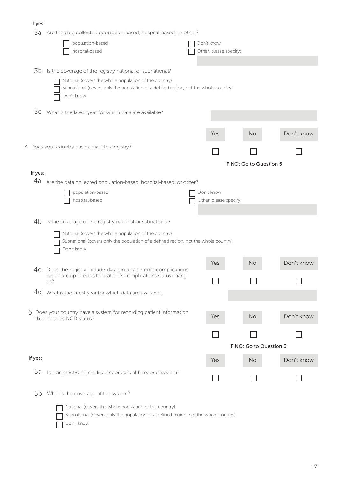#### If yes:

| 3a Are the data collected population-based, hospital-based, or other? |  |
|-----------------------------------------------------------------------|--|
|-----------------------------------------------------------------------|--|

| Jd      | Are the data collected population-based, hospital-based, or other?                                                            |                        |                         |            |
|---------|-------------------------------------------------------------------------------------------------------------------------------|------------------------|-------------------------|------------|
|         | population-based                                                                                                              | Don't know             |                         |            |
|         | hospital-based                                                                                                                | Other, please specify: |                         |            |
|         |                                                                                                                               |                        |                         |            |
| 3b      | Is the coverage of the registry national or subnational?                                                                      |                        |                         |            |
|         | National (covers the whole population of the country)                                                                         |                        |                         |            |
|         | Subnational (covers only the population of a defined region, not the whole country)                                           |                        |                         |            |
|         | Don't know                                                                                                                    |                        |                         |            |
|         |                                                                                                                               |                        |                         |            |
| 3c      | What is the latest year for which data are available?                                                                         |                        |                         |            |
|         |                                                                                                                               |                        |                         |            |
|         |                                                                                                                               |                        |                         |            |
|         |                                                                                                                               | Yes                    | <b>No</b>               | Don't know |
|         | 4 Does your country have a diabetes registry?                                                                                 |                        |                         |            |
|         |                                                                                                                               |                        |                         |            |
|         |                                                                                                                               |                        | IF NO: Go to Question 5 |            |
| If yes: |                                                                                                                               |                        |                         |            |
| 4a      | Are the data collected population-based, hospital-based, or other?                                                            |                        |                         |            |
|         |                                                                                                                               |                        |                         |            |
|         | population-based                                                                                                              | Don't know             |                         |            |
|         | hospital-based                                                                                                                | Other, please specify: |                         |            |
|         |                                                                                                                               |                        |                         |            |
| 4b      | Is the coverage of the registry national or subnational?                                                                      |                        |                         |            |
|         | National (covers the whole population of the country)                                                                         |                        |                         |            |
|         | Subnational (covers only the population of a defined region, not the whole country)                                           |                        |                         |            |
|         | Don't know                                                                                                                    |                        |                         |            |
|         |                                                                                                                               |                        |                         |            |
|         |                                                                                                                               | Yes                    | <b>No</b>               | Don't know |
| 4c.     | Does the registry include data on any chronic complications<br>which are updated as the patient's complications status chang- |                        |                         |            |
|         | es?                                                                                                                           |                        |                         |            |
| 4d      | What is the latest year for which data are available?                                                                         |                        |                         |            |
|         |                                                                                                                               |                        |                         |            |
|         |                                                                                                                               |                        |                         |            |
|         | 5 Does your country have a system for recording patient information<br>that includes NCD status?                              | Yes                    | <b>No</b>               | Don't know |
|         |                                                                                                                               |                        |                         |            |
|         |                                                                                                                               |                        |                         |            |
|         |                                                                                                                               |                        |                         |            |
|         |                                                                                                                               |                        | IF NO: Go to Question 6 |            |
| If yes: |                                                                                                                               | Yes                    | <b>No</b>               | Don't know |
|         |                                                                                                                               |                        |                         |            |
| 5a      | Is it an electronic medical records/health records system?                                                                    |                        |                         |            |
|         |                                                                                                                               |                        |                         |            |
| 5b      | What is the coverage of the system?                                                                                           |                        |                         |            |
|         |                                                                                                                               |                        |                         |            |
|         | National (covers the whole population of the country)                                                                         |                        |                         |            |
|         | Subnational (covers only the population of a defined region, not the whole country)                                           |                        |                         |            |
|         | Don't know                                                                                                                    |                        |                         |            |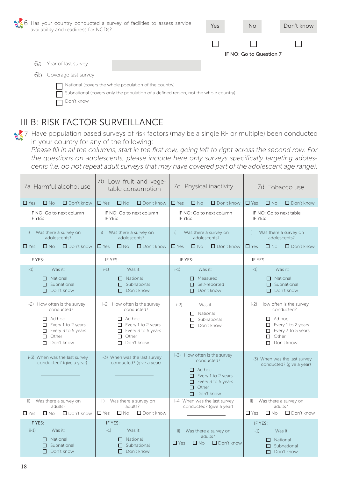| 6 Has your country conducted a survey of facilities to assess service<br>availability and readiness for NCDs? | Yes | <b>No</b>               | Don't know |
|---------------------------------------------------------------------------------------------------------------|-----|-------------------------|------------|
|                                                                                                               |     |                         |            |
|                                                                                                               |     | IF NO: Go to Question 7 |            |
| Year of last survey<br>ba                                                                                     |     |                         |            |
| Coverage last survey<br>6b                                                                                    |     |                         |            |
| National (covers the whole population of the country)                                                         |     |                         |            |
| Subnational (covers only the population of a defined region, not the whole country)                           |     |                         |            |
| Don't know                                                                                                    |     |                         |            |

# III B: RISK FACTOR SURVEILLANCE

7 Have population based surveys of risk factors (may be a single RF or multiple) been conducted in your country for any of the following:

*Please fill in all the columns, start in the first row, going left to right across the second row. For the questions on adolescents, please include here only surveys specifically targeting adolescents (i.e. do not repeat adult surveys that may have covered part of the adolescent age range).*

| 7a Harmful alcohol use                                                                                                                              | 7b Low fruit and vege-<br>table consumption                                                                                                                | 7c Physical inactivity                                                                                                                                     | 7d Tobacco use                                                                                                                                             |  |  |
|-----------------------------------------------------------------------------------------------------------------------------------------------------|------------------------------------------------------------------------------------------------------------------------------------------------------------|------------------------------------------------------------------------------------------------------------------------------------------------------------|------------------------------------------------------------------------------------------------------------------------------------------------------------|--|--|
| $\Box$ Yes                                                                                                                                          | $\Box$ Yes                                                                                                                                                 | $\Box$ Yes                                                                                                                                                 | $\Box$ Yes                                                                                                                                                 |  |  |
| $\square$ No                                                                                                                                        | $\Box$ No                                                                                                                                                  | $\Box$ No                                                                                                                                                  | $\square$ No                                                                                                                                               |  |  |
| $\Box$ Don't know                                                                                                                                   | $\Box$ Don't know                                                                                                                                          | $\Box$ Don't know                                                                                                                                          | $\Box$ Don't know                                                                                                                                          |  |  |
| IF NO: Go to next column                                                                                                                            | IF NO: Go to next column                                                                                                                                   | IF NO: Go to next column                                                                                                                                   | IF NO: Go to next table                                                                                                                                    |  |  |
| IF YES:                                                                                                                                             | IF YES:                                                                                                                                                    | IF YES:                                                                                                                                                    | IF YES:                                                                                                                                                    |  |  |
| Was there a survey on                                                                                                                               | Was there a survey on                                                                                                                                      | Was there a survey on                                                                                                                                      | Was there a survey on                                                                                                                                      |  |  |
| i)                                                                                                                                                  | i)                                                                                                                                                         | i)                                                                                                                                                         | i)                                                                                                                                                         |  |  |
| adolescents?                                                                                                                                        | adolescents?                                                                                                                                               | adolescents?                                                                                                                                               | adolescents?                                                                                                                                               |  |  |
| $\Box$ Yes                                                                                                                                          | $\square$ No                                                                                                                                               | $\Box$ No                                                                                                                                                  | $\Box$ No                                                                                                                                                  |  |  |
| $\Box$ No                                                                                                                                           | $\Box$ Yes                                                                                                                                                 | $\Box$ Yes                                                                                                                                                 | $\Box$ Yes                                                                                                                                                 |  |  |
| $\Box$ Don't know                                                                                                                                   | $\Box$ Don't know                                                                                                                                          | $\Box$ Don't know                                                                                                                                          | $\Box$ Don't know                                                                                                                                          |  |  |
| IF YES:                                                                                                                                             | IF YES:                                                                                                                                                    | IF YES:                                                                                                                                                    | IF YES:                                                                                                                                                    |  |  |
| $i-1$                                                                                                                                               | $i-1$                                                                                                                                                      | $i - 1$                                                                                                                                                    | Was it:                                                                                                                                                    |  |  |
| Was it:                                                                                                                                             | Was it:                                                                                                                                                    | Was it:                                                                                                                                                    | $i-1$                                                                                                                                                      |  |  |
| $\Box$ National<br>$\Box$ Subnational<br>$\Box$ Don't know                                                                                          | $\Box$ National<br>$\Box$ Subnational<br>$\Box$ Don't know                                                                                                 | $\Box$ Measured<br>Self-reported<br>0.<br>Don't know<br>П.                                                                                                 | $\Box$ National<br>$\Box$ Subnational<br>$\Box$ Don't know                                                                                                 |  |  |
| i-2) How often is the survey<br>conducted?<br>$\Box$ Ad hoc<br>Every 1 to 2 years<br>$\Box$ Every 3 to 5 years<br>$\Box$ Other<br>$\Box$ Don't know | i-2) How often is the survey<br>conducted?<br>$\Box$ Ad hoc<br>$\Box$ Every 1 to 2 years<br>$\Box$ Every 3 to 5 years<br>$\Box$ Other<br>$\Box$ Don't know | $i-2$<br>Was it:<br>$\Box$ National<br>$\Box$ Subnational<br>Don't know<br>П.                                                                              | i-2) How often is the survey<br>conducted?<br>$\Box$ Ad hoc<br>$\Box$ Every 1 to 2 years<br>$\Box$ Every 3 to 5 years<br>$\Box$ Other<br>$\Box$ Don't know |  |  |
| i-3) When was the last survey<br>conducted? (give a year)                                                                                           | i-3) When was the last survey<br>conducted? (give a year)                                                                                                  | i-3) How often is the survey<br>conducted?<br>$\Box$ Ad hoc<br>$\Box$ Every 1 to 2 years<br>$\Box$ Every 3 to 5 years<br>$\Box$ Other<br>$\Box$ Don't know | i-3) When was the last survey<br>conducted? (give a year)                                                                                                  |  |  |
| Was there a survey on<br>ii)<br>adults?<br>$\Box$ Yes<br>$\square$ No<br>$\Box$ Don't know                                                          | Was there a survey on<br>ii)<br>adults?<br>$\Box$ Yes<br>$\square$ No<br>$\Box$ Don't know                                                                 | i-4 When was the last survey<br>conducted? (give a year)                                                                                                   | Was there a survey on<br>ii)<br>adults?<br>$\square$ No<br>$\Box$ Don't know<br>$\Box$ Yes                                                                 |  |  |
| IF YES:                                                                                                                                             | IF YES:                                                                                                                                                    | Was there a survey on                                                                                                                                      | IF YES:                                                                                                                                                    |  |  |
| $ii-1)$                                                                                                                                             | $ii-1)$                                                                                                                                                    | ii)                                                                                                                                                        | Was it:                                                                                                                                                    |  |  |
| Was it:                                                                                                                                             | Was it:                                                                                                                                                    | adults?                                                                                                                                                    | $ii-1)$                                                                                                                                                    |  |  |
| $\Box$ National                                                                                                                                     | $\Box$ National                                                                                                                                            | $\Box$ Yes                                                                                                                                                 | $\Box$ National                                                                                                                                            |  |  |
| $\Box$ Subnational                                                                                                                                  | $\Box$ Subnational                                                                                                                                         | $\Box$ No                                                                                                                                                  | $\Box$ Subnational                                                                                                                                         |  |  |
| $\Box$ Don't know                                                                                                                                   | $\Box$ Don't know                                                                                                                                          | $\Box$ Don't know                                                                                                                                          | $\Box$ Don't know                                                                                                                                          |  |  |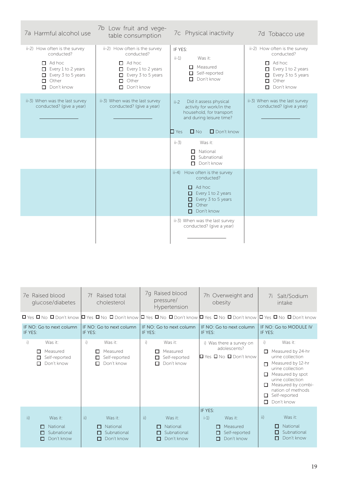| 7a Harmful alcohol use                                                                                                                                    | 7b Low fruit and vege-<br>table consumption                                                                                                               | 7c Physical inactivity                                                                                                                                           | 7d Tobacco use                                                                                                                                              |
|-----------------------------------------------------------------------------------------------------------------------------------------------------------|-----------------------------------------------------------------------------------------------------------------------------------------------------------|------------------------------------------------------------------------------------------------------------------------------------------------------------------|-------------------------------------------------------------------------------------------------------------------------------------------------------------|
| ii-2) How often is the survey<br>conducted?<br>$\Box$ Ad hoc<br>$\Box$ Every 1 to 2 years<br>$\Box$ Every 3 to 5 years<br>$\Box$ Other<br>Don't know<br>п | ii-2) How often is the survey<br>conducted?<br>$\Box$ Ad hoc<br>$\Box$ Every 1 to 2 years<br>$\Box$ Every 3 to 5 years<br>$\Box$ Other<br>Don't know<br>□ | IF YES:<br>$ii-1)$<br>Was it:<br>$\Box$ Measured<br>$\Box$ Self-reported<br>Don't know<br>□                                                                      | ii-2) How often is the survey<br>conducted?<br>$\Box$ Ad hoc<br>$\Box$ Every 1 to 2 years<br>$\Box$ Every 3 to 5 years<br>$\Box$ Other<br>$\Box$ Don't know |
| ii-3) When was the last survey<br>conducted? (give a year)                                                                                                | ii-3) When was the last survey<br>conducted? (give a year)                                                                                                | Did it assess physical<br>$ii-2$<br>activity for work/in the<br>household, for transport<br>and during leisure time?<br>$\square$ No<br>Don't know<br>$\Box$ Yes | ii-3) When was the last survey<br>conducted? (give a year)                                                                                                  |
|                                                                                                                                                           |                                                                                                                                                           | $ii-3)$<br>Was it:<br>$\Box$ National<br>$\Box$ Subnational<br>Don't know<br>П.                                                                                  |                                                                                                                                                             |
|                                                                                                                                                           |                                                                                                                                                           | ii-4) How often is the survey<br>conducted?<br>Ad hoc<br>0<br>$\Box$ Every 1 to 2 years<br>Every 3 to 5 years<br>Other<br>п<br>Don't know<br>п                   |                                                                                                                                                             |
|                                                                                                                                                           |                                                                                                                                                           | ii-3) When was the last survey<br>conducted? (give a year)                                                                                                       |                                                                                                                                                             |

| 7e Raised blood<br>glucose/diabetes |                                                                                                                         | Raised total<br>7f<br>cholesterol |                                                    | 7q Raised blood<br>pressure/<br>Hypertension |             | 7h Overweight and<br>obesity                       |                    |                                                                                    | 7i<br>Salt/Sodium<br>intake       |                                                                                                                                                                                                             |
|-------------------------------------|-------------------------------------------------------------------------------------------------------------------------|-----------------------------------|----------------------------------------------------|----------------------------------------------|-------------|----------------------------------------------------|--------------------|------------------------------------------------------------------------------------|-----------------------------------|-------------------------------------------------------------------------------------------------------------------------------------------------------------------------------------------------------------|
|                                     | Π Yes Π No Π Don't know Π Yes Π No Π Don't know Π Yes Π No Π Don't know Π Yes Π No Π Don't know Π Yes Π No Π Don't know |                                   |                                                    |                                              |             |                                                    |                    |                                                                                    |                                   |                                                                                                                                                                                                             |
| IF YES:                             | IF NO: Go to next column                                                                                                | IF YES:                           | IF NO: Go to next column                           | IF YES:                                      |             | IF NO: Go to next column                           | IF YES:            | IF NO: Go to next column                                                           | IF YES:                           | IF NO: Go to MODULE IV                                                                                                                                                                                      |
| i)                                  | Was it:<br>Measured<br>п<br>Self-reported<br>□<br>Don't know<br>□                                                       | i)<br>п<br>п                      | Was it:<br>Measured<br>Self-reported<br>Don't know | i)                                           | п<br>□<br>п | Was it:<br>Measured<br>Self-reported<br>Don't know |                    | i) Was there a survey on<br>adolescents?<br>$\Box$ Yes $\Box$ No $\Box$ Don't know | i)<br>□<br>п<br>п.<br>П<br>п<br>п | Was it:<br>Measured by 24-hr<br>urine collection<br>Measured by 12-hr<br>urine collection<br>Measured by spot<br>urine collection<br>Measured by combi-<br>nation of methods<br>Self-reported<br>Don't know |
| ii)                                 | Was it:<br>National<br>п<br>Subnational<br>п<br>Don't know<br>П                                                         | ii)<br>п<br>П                     | Was it:<br>National<br>Subnational<br>Don't know   | ii)                                          | П<br>П<br>О | Was it:<br>National<br>Subnational<br>Don't know   | IF YES:<br>$i - 1$ | Was it:<br>Measured<br>п<br>Self-reported<br>п<br>Don't know<br>п                  | ii)                               | Was it:<br>National<br>п<br>Subnational<br>п<br>Don't know<br>П                                                                                                                                             |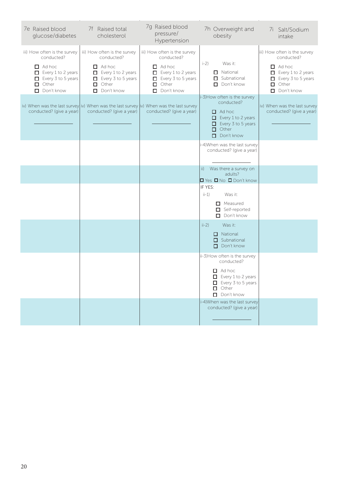| 7e Raised blood<br>glucose/diabetes                                                                                                                 | 7f Raised total<br>cholesterol                                                                                                                             | 7g Raised blood<br>pressure/<br>Hypertension                                                                                                               | 7h Overweight and<br>obesity                                                                                                                                | 7i Salt/Sodium<br>intake                                                                                                                                   |
|-----------------------------------------------------------------------------------------------------------------------------------------------------|------------------------------------------------------------------------------------------------------------------------------------------------------------|------------------------------------------------------------------------------------------------------------------------------------------------------------|-------------------------------------------------------------------------------------------------------------------------------------------------------------|------------------------------------------------------------------------------------------------------------------------------------------------------------|
| iii) How often is the survey<br>conducted?<br>$\Box$ Ad hoc<br>$\Box$ Every 1 to 2 years<br>Every 3 to 5 years<br>$\Box$ Other<br>$\Box$ Don't know | iii) How often is the survey<br>conducted?<br>$\Box$ Ad hoc<br>$\Box$ Every 1 to 2 years<br>$\Box$ Every 3 to 5 years<br>$\Box$ Other<br>$\Box$ Don't know | iii) How often is the survey<br>conducted?<br>$\Box$ Ad hoc<br>$\Box$ Every 1 to 2 years<br>$\Box$ Every 3 to 5 years<br>$\Box$ Other<br>$\Box$ Don't know | $i-2)$<br>Was it:<br>$\Box$ National<br>$\Box$ Subnational<br>$\Box$ Don't know                                                                             | iii) How often is the survey<br>conducted?<br>$\Box$ Ad hoc<br>$\Box$ Every 1 to 2 years<br>$\Box$ Every 3 to 5 years<br>$\Box$ Other<br>$\Box$ Don't know |
| conducted? (give a year)                                                                                                                            | iv) When was the last survey iv) When was the last survey $ v\rangle$ When was the last survey<br>conducted? (give a year)                                 | conducted? (give a year)                                                                                                                                   | i-3)How often is the survey<br>conducted?<br>$\Box$ Ad hoc<br>$\Box$ Every 1 to 2 years<br>$\Box$ Every 3 to 5 years<br>$\Box$ Other<br>$\Box$ Don't know   | iv) When was the last survey<br>conducted? (give a year)                                                                                                   |
|                                                                                                                                                     |                                                                                                                                                            |                                                                                                                                                            | i-4) When was the last survey<br>conducted? (give a year)                                                                                                   |                                                                                                                                                            |
|                                                                                                                                                     |                                                                                                                                                            |                                                                                                                                                            | Was there a survey on<br>ii)<br>adults?<br><b>D</b> Yes <b>D</b> No <b>D</b> Don't know                                                                     |                                                                                                                                                            |
|                                                                                                                                                     |                                                                                                                                                            |                                                                                                                                                            | IF YES:<br>$ii-1)$<br>Was it:<br>$\Box$ Measured<br>$\Box$ Self-reported<br>$\Box$ Don't know                                                               |                                                                                                                                                            |
|                                                                                                                                                     |                                                                                                                                                            |                                                                                                                                                            | $ii-2)$<br>Was it:<br>□ National<br>$\Box$ Subnational<br>$\Box$ Don't know                                                                                 |                                                                                                                                                            |
|                                                                                                                                                     |                                                                                                                                                            |                                                                                                                                                            | ii-3) How often is the survey<br>conducted?<br>$\Box$ Ad hoc<br>$\Box$ Every 1 to 2 years<br>$\Box$ Every 3 to 5 years<br>$\Box$ Other<br>$\Box$ Don't know |                                                                                                                                                            |
|                                                                                                                                                     |                                                                                                                                                            |                                                                                                                                                            | i-4) When was the last survey<br>conducted? (give a year)                                                                                                   |                                                                                                                                                            |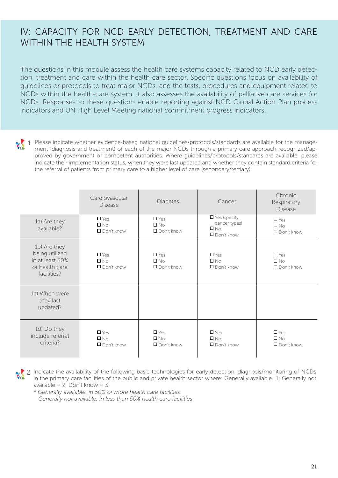### IV: CAPACITY FOR NCD EARLY DETECTION, TREATMENT AND CARE WITHIN THE HEALTH SYSTEM

The questions in this module assess the health care systems capacity related to NCD early detection, treatment and care within the health care sector. Specific questions focus on availability of guidelines or protocols to treat major NCDs, and the tests, procedures and equipment related to NCDs within the health-care system. It also assesses the availability of palliative care services for NCDs. Responses to these questions enable reporting against NCD Global Action Plan process indicators and UN High Level Meeting national commitment progress indicators.

Please indicate whether evidence-based national guidelines/protocols/standards are available for the manage-1 ment (diagnosis and treatment) of each of the major NCDs through a primary care approach recognized/approved by government or competent authorities. Where guidelines/protocols/standards are available, please indicate their implementation status, when they were last updated and whether they contain standard criteria for the referral of patients from primary care to a higher level of care (secondary/tertiary).

|                                                                                    | Cardiovascular<br><b>Disease</b>                   | <b>Diabetes</b>                                       | Cancer                                                                                  | Chronic<br>Respiratory<br><b>Disease</b>        |  |
|------------------------------------------------------------------------------------|----------------------------------------------------|-------------------------------------------------------|-----------------------------------------------------------------------------------------|-------------------------------------------------|--|
| 1a) Are they<br>available?                                                         | $\Box$ Yes<br>$\square$ $N_Q$<br>$\Box$ Don't know | $\Box$ Yes<br>$\square$ $\wedge$<br>$\Box$ Don't know | $\blacksquare$ Yes (specify<br>cancer types)<br>$\square$ $\wedge$<br>$\Box$ Don't know | $\Box$ Yes<br>$\square$ No<br>$\Box$ Don't know |  |
| 1b) Are they<br>being utilized<br>in at least 50%<br>of health care<br>facilities? | $\Box$ Yes<br>$\square$ $N_Q$<br>$\Box$ Don't know | $\Box$ Yes<br>$\square$ $\wedge$<br>$\Box$ Don't know | $\Box$ Yes<br>$\square$ $N_Q$<br>$\Box$ Don't know                                      | $\Box$ Yes<br>$\square$ No<br>$\Box$ Don't know |  |
| 1c) When were<br>they last<br>updated?                                             |                                                    |                                                       |                                                                                         |                                                 |  |
| 1d) Do they<br>include referral<br>criteria?                                       | $\Box$ Yes<br>$\Box$ No<br>Don't know              | $\Box$ Yes<br>$\Box$ No<br>$\Box$ Don't know          | $\Box$ Yes<br>$\square$ No<br>$\Box$ Don't know                                         | $\Box$ Yes<br>$\Box$ No<br>$\Box$ Don't know    |  |

Indicate the availability of the following basic technologies for early detection, diagnosis/monitoring of NCDs 2in the primary care facilities of the public and private health sector where: Generally available=1; Generally not available =  $2$ , Don't know =  $3$ 

*\* Generally available: in 50% or more health care facilities Generally not available: in less than 50% health care facilities*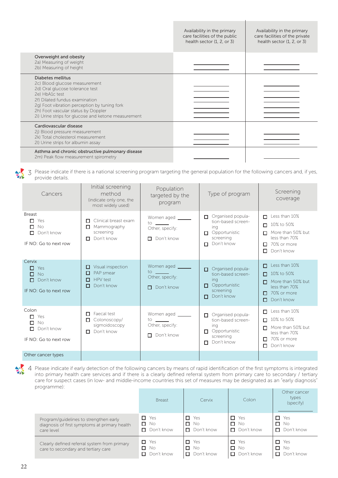|                                                                                                                                                                                                                                                                                         | Availability in the primary<br>care facilities of the public<br>health sector (1, 2, or 3) | Availability in the primary<br>care facilities of the private<br>health sector (1, 2, or 3) |
|-----------------------------------------------------------------------------------------------------------------------------------------------------------------------------------------------------------------------------------------------------------------------------------------|--------------------------------------------------------------------------------------------|---------------------------------------------------------------------------------------------|
| Overweight and obesity<br>2a) Measuring of weight<br>2b) Measuring of height                                                                                                                                                                                                            |                                                                                            |                                                                                             |
| Diabetes mellitus<br>2c) Blood glucose measurement<br>2d) Oral glucose tolerance test<br>2e) HbA1c test<br>2f) Dilated fundus examination<br>2g) Foot vibration perception by tuning fork<br>2h) Foot vascular status by Doppler<br>2i) Urine strips for glucose and ketone measurement |                                                                                            |                                                                                             |
| Cardiovascular disease<br>2j) Blood pressure measurement<br>2k) Total cholesterol measurement<br>2I) Urine strips for albumin assay                                                                                                                                                     |                                                                                            |                                                                                             |
| Asthma and chronic obstructive pulmonary disease<br>2m) Peak flow measurement spirometry                                                                                                                                                                                                |                                                                                            |                                                                                             |

Please indicate if there is a national screening program targeting the general population for the following cancers and, if yes, 3 provide details.

| Cancers                                                                            | Initial screening<br>method<br>(indicate only one, the<br>most widely used)       | Population<br>targeted by the<br>program                                                   | Type of program                                                                                                 | Screening<br>coverage                                                                                                       |  |
|------------------------------------------------------------------------------------|-----------------------------------------------------------------------------------|--------------------------------------------------------------------------------------------|-----------------------------------------------------------------------------------------------------------------|-----------------------------------------------------------------------------------------------------------------------------|--|
| <b>Breast</b><br>Yes<br>п<br>No<br>П.<br>Don't know<br>П.<br>IF NO: Go to next row | Clinical breast exam<br>П.<br>$\Box$ Mammography<br>screening<br>Don't know<br>П. | Women aged<br>to $\qquad$<br>Other, specify:<br>Don't know<br>П.                           | Organised popula-<br>п.<br>tion-based screen-<br>ing<br>$\Box$ Opportunistic<br>screening<br>Don't know<br>п    | Less than 10%<br>п<br>10% to 50%<br>п.<br>More than 50% but<br>п.<br>less than 70%<br>70% or more<br>п.<br>Don't know<br>п. |  |
| Cervix<br>Yes<br>П.<br>No<br>п.<br>$\Box$ Don't know<br>IF NO: Go to next row      | $\Box$ Visual inspection<br>PAP smear<br>n.<br>HPV test<br>п.<br>Don't know<br>п. | Women aged<br>to $\qquad$<br>Other, specify:<br>$\Box$ Don't know                          | Organised popula-<br>П<br>tion-based screen-<br>ing<br>Opportunistic<br>п.<br>screening<br>Don't know<br>n      | Less than 10%<br>п<br>10% to 50%<br>п<br>More than 50% but<br>п<br>less than 70%<br>$\Box$ 70% or more<br>Don't know<br>п   |  |
| Colon<br>Yes<br>П.<br><b>No</b><br>п.<br>Don't know<br>п<br>IF NO: Go to next row  | $\Box$ Faecal test<br>Colonoscopy/<br>П.<br>sigmoidoscopy<br>Don't know<br>П.     | Women aged ______<br>$\frac{1}{2}$ to $\frac{1}{2}$<br>Other, specify:<br>Don't know<br>п. | Organised popula-<br>$\Box$<br>tion-based screen-<br>ing<br>Opportunistic<br>п.<br>screening<br>Don't know<br>п | Less than 10%<br>п<br>10% to 50%<br>п<br>More than 50% but<br>п.<br>less than 70%<br>70% or more<br>п<br>Don't know<br>0    |  |
| Other cancer types                                                                 |                                                                                   |                                                                                            |                                                                                                                 |                                                                                                                             |  |

文人

4 Please indicate if early detection of the following cancers by means of rapid identification of the first symptoms is integrated into primary health care services and if there is a clearly defined referral system from primary care to secondary / tertiary care for suspect cases (in low- and middle-income countries this set of measures may be designated as an "early diagnosis" programme):

|                                                                                                       | <b>Breast</b>                                | Cervix                                        | Colon                                       | Other cancer<br>types<br>(specify)            |
|-------------------------------------------------------------------------------------------------------|----------------------------------------------|-----------------------------------------------|---------------------------------------------|-----------------------------------------------|
| Program/guidelines to strengthen early<br>diagnosis of first symptoms at primary health<br>care level | $\Box$ Yes<br>$\Box$ No<br>$\Box$ Don't know | $\Box$ Yes<br>0.<br>- No<br>$\Box$ Don't know | 0<br>Yes<br>О.<br>- No<br>$\Box$ Don't know | Yes<br>□<br>□<br><b>No</b><br>Don't know<br>п |
| Clearly defined referral system from primary<br>care to secondary and tertiary care                   | $\Box$ Yes<br>$\Box$ No<br>Don't know        | $\Box$ Yes<br>П<br>- No<br>Don't know<br>п.   | Yes<br>П.<br>П.<br>. No<br>Don't know<br>П  | п<br>Yes<br>□<br>No.<br>Don't know            |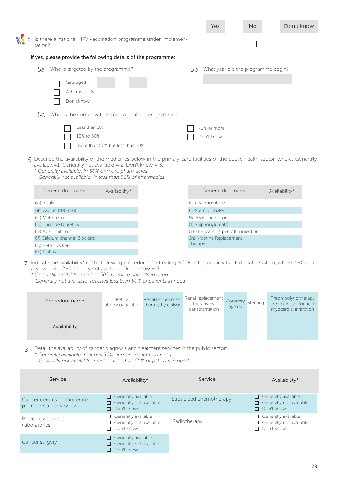|               |         |                                                                |    | Yes         | <b>No</b>                          | Don't know |
|---------------|---------|----------------------------------------------------------------|----|-------------|------------------------------------|------------|
| $\frac{1}{2}$ | tation? | Is there a national HPV vaccination programme under implemen-  |    |             |                                    |            |
|               |         | If yes, please provide the following details of the programme: |    |             |                                    |            |
|               | 5a      | Who is targeted by the programme?                              | 5b |             | What year did the programme begin? |            |
|               |         | Girls aged<br>Other (specify)<br>Don't know                    |    |             |                                    |            |
|               | 5с      | What is the immunization coverage of the programme?            |    |             |                                    |            |
|               |         | Less than 10%                                                  |    | 70% or more |                                    |            |
|               |         | 10% to 50%                                                     |    | Don't know  |                                    |            |
|               |         | more than 50% but less than 70%                                |    |             |                                    |            |

- 6 Describe the availability of the medicines below in the primary care facilities of the public health sector, where: Generally available=1; Generally not available = 2, Don't know =  $3$ .
	- *\* Generally available: in 50% or more pharmacies Generally not available: in less than 50% of pharmacies*

| Generic drug name            | Availability* | Generic drug name                   | Availability* |
|------------------------------|---------------|-------------------------------------|---------------|
| 6a) Insulin                  |               | 6i) Oral morphine                   |               |
| 6b) Aspirin (100 mg)         |               | 6j) Steroid inhaler                 |               |
| 6c) Metformin                |               | 6k) Bronchodilator                  |               |
| 6d) Thiazide Diuretics       |               | 6l) Sulphonylurea(s)                |               |
| 6e) ACE Inhibitors           |               | 6m) Benzathine penicillin injection |               |
| 6f) Calcium channel Blockers |               | 6n) Nicotine Replacement            |               |
| 6g) Beta Blockers            |               | Therapy                             |               |
| 6h) Statins                  |               |                                     |               |

- Indicate the availability\* of the following procedures for treating NCDs in the publicly funded health system, where: 1=Gener-7 ally available; 2=Generally not available; Don't know = 3.
	- *\* Generally available: reaches 50% or more patients in need Generally not available: reaches less than 50% of patients in need*

| Procedure name | Retinal | Renal replacement Renal replacement<br>photocoagulation therapy by dialysis | therapy by<br>transplantation | bypass | Thrombolytic therapy<br>Coronary Stenting (streptokinase) for acute<br>myocardial infarction |
|----------------|---------|-----------------------------------------------------------------------------|-------------------------------|--------|----------------------------------------------------------------------------------------------|
| Availability   |         |                                                                             |                               |        |                                                                                              |

Detail the availability of cancer diagnosis and treatment services in the public sector: *\* Generally available: reaches 50% or more patients in need Generally not available: reaches less than 50% of patients in need* 8

| Service                                                     | Availability*                                                       | Service                 | Availability*                                                                    |
|-------------------------------------------------------------|---------------------------------------------------------------------|-------------------------|----------------------------------------------------------------------------------|
| Cancer centres or cancer de-<br>partments at tertiary level | $\Box$ Generally available<br>Generally not available<br>Don't know | Subsidized chemotherapy | Generally available<br>□<br>$\Box$ Generally not available<br>$\Box$ Don't know  |
| Pathology services<br>(laboratories)                        | Generally available<br>Generally not available<br>Don't know        | Radiotherapy            | Generally available<br>П.<br>$\Box$ Generally not available<br>$\Box$ Don't know |
| Cancer surgery                                              | Generally available<br>Generally not available<br>Don't know        |                         |                                                                                  |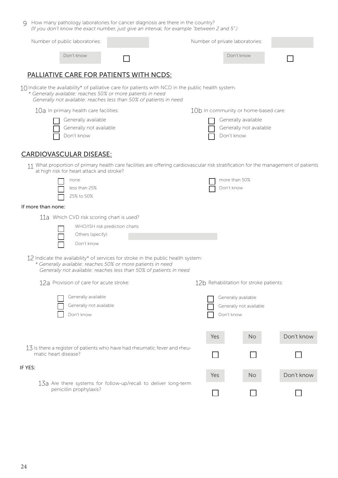| How many pathology laboratories for cancer diagnosis are there in the country?<br>Q.<br>(If you don't know the exact number, just give an interval, for example "between 2 and 5".)                                                      |                                |  |     |                                                              |            |  |  |
|------------------------------------------------------------------------------------------------------------------------------------------------------------------------------------------------------------------------------------------|--------------------------------|--|-----|--------------------------------------------------------------|------------|--|--|
| Number of public laboratories:                                                                                                                                                                                                           |                                |  |     | Number of private laboratories:                              |            |  |  |
| Don't know                                                                                                                                                                                                                               |                                |  |     | Don't know                                                   |            |  |  |
| <u>PALLIATIVE CARE FOR PATIENTS WITH NCDS:</u>                                                                                                                                                                                           |                                |  |     |                                                              |            |  |  |
| 10 Indicate the availability* of palliative care for patients with NCD in the public health system.<br>* Generally available: reaches 50% or more patients in need<br>Generally not available: reaches less than 50% of patients in need |                                |  |     |                                                              |            |  |  |
| 10a In primary health care facilities:                                                                                                                                                                                                   |                                |  |     | 10b In community or home-based care:                         |            |  |  |
| Generally available<br>Generally not available<br>Don't know                                                                                                                                                                             |                                |  |     | Generally available<br>Generally not available<br>Don't know |            |  |  |
| <b>CARDIOVASCULAR DISEASE:</b>                                                                                                                                                                                                           |                                |  |     |                                                              |            |  |  |
| 11 What proportion of primary health care facilities are offering cardiovascular risk stratification for the management of patients<br>at high risk for heart attack and stroke?                                                         |                                |  |     |                                                              |            |  |  |
| none<br>less than 25%<br>25% to 50%                                                                                                                                                                                                      |                                |  |     | more than 50%<br>Don't know                                  |            |  |  |
| If more than none:                                                                                                                                                                                                                       |                                |  |     |                                                              |            |  |  |
| 11a Which CVD risk scoring chart is used?                                                                                                                                                                                                |                                |  |     |                                                              |            |  |  |
|                                                                                                                                                                                                                                          | WHO/ISH risk prediction charts |  |     |                                                              |            |  |  |
| Others (specify):<br>Don't know                                                                                                                                                                                                          |                                |  |     |                                                              |            |  |  |
| $12$ Indicate the availability* of services for stroke in the public health system:<br>* Generally available: reaches 50% or more patients in need<br>Generally not available: reaches less than 50% of patients in need                 |                                |  |     |                                                              |            |  |  |
| 12a Provision of care for acute stroke:                                                                                                                                                                                                  |                                |  |     | 12b Rehabilitation for stroke patients:                      |            |  |  |
| Generally available                                                                                                                                                                                                                      |                                |  |     | Generally available                                          |            |  |  |
| Generally not available                                                                                                                                                                                                                  |                                |  |     | Generally not available                                      |            |  |  |
| Don't know                                                                                                                                                                                                                               |                                |  |     | Don't know                                                   |            |  |  |
|                                                                                                                                                                                                                                          |                                |  | Yes | No.                                                          | Don't know |  |  |
| 13 Is there a register of patients who have had rheumatic fever and rheu-<br>matic heart disease?                                                                                                                                        |                                |  |     |                                                              |            |  |  |
| IF YES:                                                                                                                                                                                                                                  |                                |  | Yes | No.                                                          | Don't know |  |  |
| 13a Are there systems for follow-up/recall to deliver long-term<br>penicillin prophylaxis?                                                                                                                                               |                                |  |     |                                                              |            |  |  |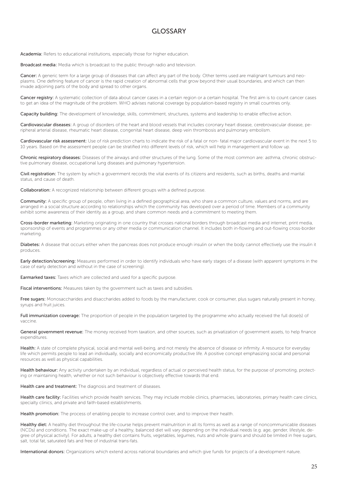#### GLOSSARY

Academia: Refers to educational institutions, especially those for higher education.

Broadcast media: Media which is broadcast to the public through radio and television.

Cancer: A generic term for a large group of diseases that can affect any part of the body. Other terms used are malignant tumours and neoplasms. One defining feature of cancer is the rapid creation of abnormal cells that grow beyond their usual boundaries, and which can then invade adjoining parts of the body and spread to other organs.

Cancer registry: A systematic collection of data about cancer cases in a certain region or a certain hospital. The first aim is to count cancer cases to get an idea of the magnitude of the problem. WHO advises national coverage by population-based registry in small countries only.

Capacity building: The development of knowledge, skills, commitment, structures, systems and leadership to enable effective action.

Cardiovascular diseases: A group of disorders of the heart and blood vessels that includes coronary heart disease, cerebrovascular disease, peripheral arterial disease, rheumatic heart disease, congenital heart disease, deep vein thrombosis and pulmonary embolism.

Cardiovascular risk assessment: Use of risk prediction charts to indicate the risk of a fatal or non- fatal major cardiovascular event in the next 5 to 10 years. Based on the assessment people can be stratified into different levels of risk, which will help in management and follow up.

Chronic respiratory diseases: Diseases of the airways and other structures of the lung. Some of the most common are: asthma, chronic obstructive pulmonary disease, occupational lung diseases and pulmonary hypertension.

Civil registration: The system by which a government records the vital events of its citizens and residents, such as births, deaths and marital status, and cause of death.

Collaboration: A recognized relationship between different groups with a defined purpose.

Community: A specific group of people, often living in a defined geographical area, who share a common culture, values and norms, and are arranged in a social structure according to relationships which the community has developed over a period of time. Members of a community exhibit some awareness of their identity as a group, and share common needs and a commitment to meeting them.

Cross-border marketing: Marketing originating in one country that crosses national borders through broadcast media and internet, print media, sponsorship of events and programmes or any other media or communication channel. It includes both in-flowing and out-flowing cross-border marketing.

Diabetes: A disease that occurs either when the pancreas does not produce enough insulin or when the body cannot effectively use the insulin it produces.

Early detection/screening: Measures performed in order to identify individuals who have early stages of a disease (with apparent symptoms in the case of early detection and without in the case of screening).

Earmarked taxes: Taxes which are collected and used for a specific purpose.

Fiscal interventions: Measures taken by the government such as taxes and subsidies.

Free sugars: Monosaccharides and disaccharides added to foods by the manufacturer, cook or consumer, plus sugars naturally present in honey, syrups and fruit juices.

Full immunization coverage: The proportion of people in the population targeted by the programme who actually received the full dose(s) of vaccine.

General government revenue: The money received from taxation, and other sources, such as privatization of government assets, to help finance expenditures.

Health: A state of complete physical, social and mental well-being, and not merely the absence of disease or infirmity. A resource for everyday life which permits people to lead an individually, socially and economically productive life. A positive concept emphasizing social and personal resources as well as physical capabilities.

Health behaviour: Any activity undertaken by an individual, regardless of actual or perceived health status, for the purpose of promoting, protecting or maintaining health, whether or not such behaviour is objectively effective towards that end.

Health care and treatment: The diagnosis and treatment of diseases.

Health care facility: Facilities which provide health services. They may include mobile clinics, pharmacies, laboratories, primary health care clinics, specialty clinics, and private and faith-based establishments.

Health promotion: The process of enabling people to increase control over, and to improve their health.

Healthy diet: A healthy diet throughout the life-course helps prevent malnutrition in all its forms as well as a range of noncommunicable diseases (NCDs) and conditions. The exact make-up of a healthy, balanced diet will vary depending on the individual needs (e.g. age, gender, lifestyle, degree of physical activity). For adults, a healthy diet contains fruits, vegetables, legumes, nuts and whole grains and should be limited in free sugars, salt, total fat, saturated fats and free of industrial trans-fats.

International donors: Organizations which extend across national boundaries and which give funds for projects of a development nature.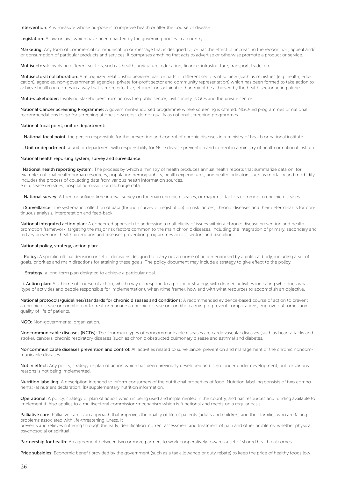Intervention: Any measure whose purpose is to improve health or alter the course of disease.

Legislation: A law or laws which have been enacted by the governing bodies in a country.

Marketing: Any form of commercial communication or message that is designed to, or has the effect of, increasing the recognition, appeal and/ or consumption of particular products and services. It comprises anything that acts to advertise or otherwise promote a product or service.

Multisectoral: Involving different sectors, such as health, agriculture, education, finance, infrastructure, transport, trade, etc.

Multisectoral collaboration: A recognized relationship between part or parts of different sectors of society (such as ministries (e.g. health, education), agencies, non-governmental agencies, private for-profit sector and community representation) which has been formed to take action to achieve health outcomes in a way that is more effective, efficient or sustainable than might be achieved by the health sector acting alone.

Multi-stakeholder: Involving stakeholders from across the public sector, civil society, NGOs and the private sector.

National Cancer Screening Programme: A government-endorsed programme where screening is offered. NGO-led programmes or national recommendations to go for screening at one's own cost, do not qualify as national screening programmes.

#### National focal point, unit or department:

i. National focal point: the person responsible for the prevention and control of chronic diseases in a ministry of health or national institute.

ii. Unit or department: a unit or department with responsibility for NCD disease prevention and control in a ministry of health or national institute.

#### National health reporting system, survey and surveillance:

i National health reporting system: The process by which a ministry of health produces annual health reports that summarize data on, for example, national health human resources, population demographics, health expenditures, and health indicators such as mortality and morbidity. Includes the process of collecting data from various health information sources, e.g. disease registries, hospital admission or discharge data.

ii National survey: A fixed or unfixed time interval survey on the main chronic diseases, or major risk factors common to chronic diseases.

iii Surveillance: The systematic collection of data (through survey or registration) on risk factors, chronic diseases and their determinants for continuous analysis, interpretation and feed-back.

National integrated action plan: A concerted approach to addressing a multiplicity of issues within a chronic disease prevention and health promotion framework, targeting the major risk factors common to the main chronic diseases, including the integration of primary, secondary and tertiary prevention, health promotion and diseases prevention programmes across sectors and disciplines.

#### National policy, strategy, action plan:

i. Policy: A specific official decision or set of decisions designed to carry out a course of action endorsed by a political body, including a set of goals, priorities and main directions for attaining these goals. The policy document may include a strategy to give effect to the policy.

ii. Strategy: a long-term plan designed to achieve a particular goal.

iii. Action plan: A scheme of course of action, which may correspond to a policy or strategy, with defined activities indicating who does what (type of activities and people responsible for implementation), when (time frame), how and with what resources to accomplish an objective.

National protocols/guidelines/standards for chronic diseases and conditions: A recommended evidence-based course of action to prevent a chronic disease or condition or to treat or manage a chronic disease or condition aiming to prevent complications, improve outcomes and quality of life of patients.

#### NGO: Non-governmental organization.

Noncommunicable diseases (NCDs): The four main types of noncommunicable diseases are cardiovascular diseases (such as heart attacks and stroke), cancers, chronic respiratory diseases (such as chronic obstructed pulmonary disease and asthma) and diabetes.

Noncommunicable diseases prevention and control: All activities related to surveillance, prevention and management of the chronic noncommunicable diseases.

Not in effect: Any policy, strategy or plan of action which has been previously developed and is no longer under development, but for various reasons is not being implemented.

Nutrition labelling: A description intended to inform consumers of the nutritional properties of food. Nutrition labelling consists of two components: (a) nutrient declaration; (b) supplementary nutrition information.

Operational: A policy, strategy or plan of action which is being used and implemented in the country, and has resources and funding available to implement it. Also applies to a multisectoral commission/mechanism which is functional and meets on a regular basis.

Palliative care: Palliative care is an approach that improves the quality of life of patients (adults and children) and their families who are facing problems associated with life-threatening illness. It

prevents and relieves suffering through the early identification, correct assessment and treatment of pain and other problems, whether physical, psychosocial or spiritual.

Partnership for health: An agreement between two or more partners to work cooperatively towards a set of shared health outcomes.

Price subsidies: Economic benefit provided by the government (such as a tax allowance or duty rebate) to keep the price of healthy foods low.